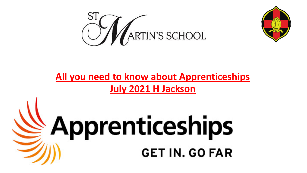



### **All you need to know about Apprenticeships July 2021 H Jackson**

# Apprenticeships **GET IN. GO FAR**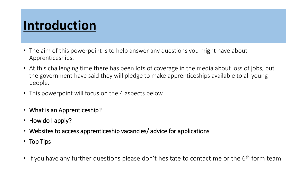### **Introduction**

- The aim of this powerpoint is to help answer any questions you might have about Apprenticeships.
- At this challenging time there has been lots of coverage in the media about loss of jobs, but the government have said they will pledge to make apprenticeships available to all young people.
- This powerpoint will focus on the 4 aspects below.
- What is an Apprenticeship?
- How do I apply?
- Websites to access apprenticeship vacancies/ advice for applications
- Top Tips
- If you have any further questions please don't hesitate to contact me or the  $6<sup>th</sup>$  form team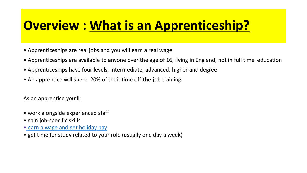# **Overview : What is an Apprenticeship?**

- Apprenticeships are real jobs and you will earn a real wage
- Apprenticeships are available to anyone over the age of 16, living in England, not in full time education
- Apprenticeships have four levels, intermediate, advanced, higher and degree
- An apprentice will spend 20% of their time off-the-job training

#### As an apprentice you'll:

- work alongside experienced staff
- gain job-specific skills
- [earn a wage and get holiday pay](https://www.gov.uk/apprenticeships-guide/pay-and-conditions)
- get time for study related to your role (usually one day a week)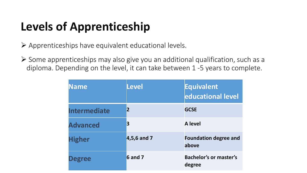## **Levels of Apprenticeship**

- ➢ Apprenticeships have equivalent educational levels.
- ➢ Some apprenticeships may also give you an additional qualification, such as a diploma. Depending on the level, it can take between 1 -5 years to complete.

| <b>Name</b>     | Level          | <b>Equivalent</b><br>educational level  |
|-----------------|----------------|-----------------------------------------|
| Intermediate    | $\overline{2}$ | <b>GCSE</b>                             |
| <b>Advanced</b> | 3              | <b>A</b> level                          |
| <b>Higher</b>   | 4,5,6 and 7    | <b>Foundation degree and</b><br>above   |
| <b>Degree</b>   | $6$ and $7$    | <b>Bachelor's or master's</b><br>degree |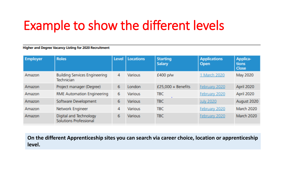# Example to show the different levels

**Higher and Degree Vacancy Listing for 2020 Recruitment** 

| <b>Employer</b> | <b>Roles</b>                                       | Level | <b>Locations</b> | <b>Starting</b><br><b>Salary</b> | <b>Applications</b><br>Open | Applica-<br>tions<br>Close |
|-----------------|----------------------------------------------------|-------|------------------|----------------------------------|-----------------------------|----------------------------|
| Amazon          | <b>Building Services Engineering</b><br>Technician | 4     | <b>Various</b>   | £400 p/w                         | 1 March 2020                | May 2020                   |
| Amazon          | Project manager (Degree)                           | 6     | London           | $£25,000 + Benefits$             | February 2020               | April 2020                 |
| Amazon          | <b>RME Automation Engineering</b>                  | 6     | <b>Various</b>   | <b>TBC</b>                       | February 2020               | April 2020                 |
| Amazon          | Software Development                               | 6     | <b>Various</b>   | <b>TBC</b>                       | <b>July 2020</b>            | August 2020                |
| Amazon          | Network Engineer                                   | 4     | <b>Various</b>   | TBC                              | February 2020               | March 2020                 |
| Amazon          | Digital and Technology<br>Solutions Professional   | 6     | <b>Various</b>   | <b>TBC</b>                       | February 2020               | March 2020                 |

**On the different Apprenticeship sites you can search via career choice, location or apprenticeship level.**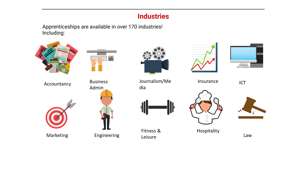#### **Industries**

Apprenticeships are available in over 170 industries! Including:

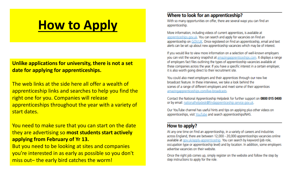## **How to Apply**

#### **Unlike applications for university, there is not a set date for applying for apprenticeships.**

The web links at the side here all offer a wealth of apprenticeship links and searches to help you find the right one for you. Companies will release apprenticeships throughout the year with a variety of start dates.

#### You need to make sure that you can start on the date they are advertising so **most students start actively applying from February of Yr 13.**

But you need to be looking at sites and companies you're interested in as early as possible so you don't miss out– the early bird catches the worm!

#### Where to look for an apprenticeship?

With so many opportunities on offer, there are several ways you can find an apprenticeship.

More information, including videos of current apprentices, is available at apprenticeships.gov.uk. You can search and apply for vacancies on Find an apprenticeship on GOV.UK. Once registered on Find an apprenticeship, email and text alerts can be set up about new apprenticeship vacancies which may be of interest.

If you would like to view more information on a selection of well-known employers you can visit the vacancy snapshot at amazingapprenticeships.com. It displays a range of employers fact files outlining the types of apprenticeship vacancies available at these companies across the year. If you have a specific interest in a certain employer, it is also worth going direct to their recruitment site.

You could also meet employers and their apprentices through our new live broadcast feature. In these interviews, we take a look behind the scenes of a range of different employers and meet some of their apprentices amazingapprenticeships.com/live-broadcasts.

Contact the National Apprenticeship Helpdesk for further support on 0800 015 0400 or by email: nationalhelpdesk@findapprenticeship.service.gov.uk.

Our YouTube channel has useful hints and tips on applying plus other videos on apprenticeships, visit YouTube and search apprenticeships/NAS.

#### How to apply?

At any one time on Find an apprenticeship, in a variety of careers and industries across England, there are between 12,000 - 20,000 apprenticeships vacancies online available at gov.uk/apply-apprenticeship. You can search by keyword (job role, occupation type or apprenticeship level) and by location. In addition, some employers advertise vacancies on their website.

Once the right job comes up, simply register on the website and follow the step by step instructions to apply for the role.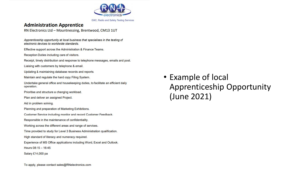

EMC, Radio and Safety Testing Services

#### **Administration Apprentice**

RN Electronics Ltd - Mountnessing, Brentwood, CM13 1UT

Apprenticeship opportunity at local business that specialises in the testing of electronic devices to worldwide standards. Effective support across the Administration & Finance Teams. Reception Duties including care of visitors. Receipt, timely distribution and response to telephone messages, emails and post. Liaising with customers by telephone & email. Updating & maintaining database records and reports. Maintain and regulate the hard copy Filing System. Undertake general office and housekeeping duties, to facilitate an efficient daily operation. Prioritise and structure a changing workload. Plan and deliver an assigned Project. Aid in problem solving. Planning and preparation of Marketing Exhibitions. Customer Service including monitor and record Customer Feedback. Responsible in the maintenance of confidentiality. Working across the different areas and range of services. Time provided to study for Level 3 Business Administration qualification. High standard of literacy and numeracy required. Experience of MS Office applications including Word, Excel and Outlook. Hours  $08:15 - 16:45$ Salary £14,000 pa

• Example of local Apprenticeship Opportunity (June 2021)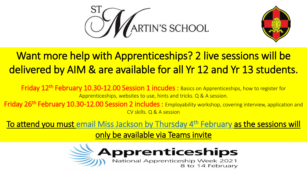



### Want more help with Apprenticeships? 2 live sessions will be delivered by AIM & are available for all Yr 12 and Yr 13 students.

Friday 12<sup>th</sup> February 10.30-12.00 Session 1 incudes: Basics on Apprenticeships, how to register for Apprenticeships, websites to use, hints and tricks. Q & A session.

Friday 26<sup>th</sup> February 10.30-12.00 Session 2 includes: Employability workshop, covering interview, application and CV skills. Q & A session

To attend you must email Miss Jackson by Thursday 4<sup>th</sup> February as the sessions will

only be available via Teams invite

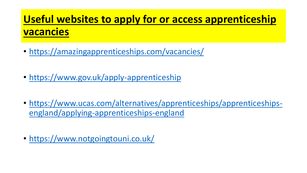### **Useful websites to apply for or access apprenticeship vacancies**

- <https://amazingapprenticeships.com/vacancies/>
- <https://www.gov.uk/apply-apprenticeship>
- [https://www.ucas.com/alternatives/apprenticeships/apprenticeships](https://www.ucas.com/alternatives/apprenticeships/apprenticeships-england/applying-apprenticeships-england)england/applying-apprenticeships-england
- <https://www.notgoingtouni.co.uk/>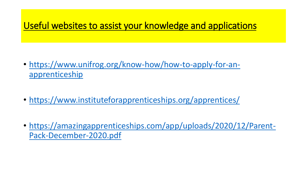### Useful websites to assist your knowledge and applications

- [https://www.unifrog.org/know-how/how-to-apply-for-an](https://www.unifrog.org/know-how/how-to-apply-for-an-apprenticeship)apprenticeship
- <https://www.instituteforapprenticeships.org/apprentices/>
- [https://amazingapprenticeships.com/app/uploads/2020/12/Parent-](https://amazingapprenticeships.com/app/uploads/2020/12/Parent-Pack-December-2020.pdf)Pack-December-2020.pdf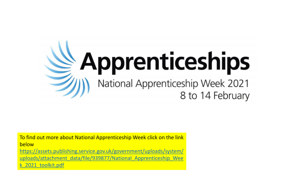

[To find out more about National Apprenticeship Week click on the link](https://assets.publishing.service.gov.uk/government/uploads/system/uploads/attachment_data/file/939877/National_Apprenticeship_Week_2021_toolkit.pdf)  below https://assets.publishing.service.gov.uk/government/uploads/system/

[uploads/attachment\\_data/file/939877/National\\_Apprenticeship\\_Wee](https://assets.publishing.service.gov.uk/government/uploads/system/uploads/attachment_data/file/939877/National_Apprenticeship_Week_2021_toolkit.pdf) 2021 toolkit.pdf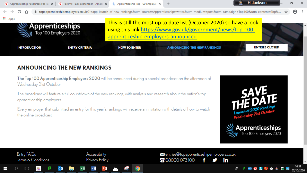

#### **ANNOUNCING THE NEW RANKINGS**

The Top 100 Apprenticeship Employers 2020 will be announced during a special broadcast on the afternoon of Wednesday 21st October.

The broadcast will feature a full countdown of the new rankings, with analysis and research about the nation's top apprenticeship employers.

Every employer that submitted an entry for this year's rankings will receive an invitation with details of how to watch the online broadcast.